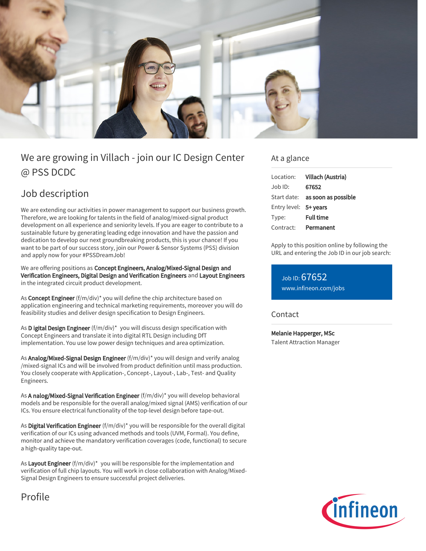

# We are growing in Villach - join our IC Design Center @ PSS DCDC

# Job description

We are extending our activities in power management to support our business growth. Therefore, we are looking for talents in the field of analog/mixed-signal product development on all experience and seniority levels. If you are eager to contribute to a sustainable future by generating leading edge innovation and have the passion and dedication to develop our next groundbreaking products, this is your chance! If you want to be part of our success story, join our Power & Sensor Systems (PSS) division and apply now for your #PSSDreamJob!

We are offering positions as Concept Engineers, Analog/Mixed-Signal Design and Verification Engineers, Digital Design and Verification Engineers and Layout Engineers in the integrated circuit product development.

As Concept Engineer (f/m/div)\* you will define the chip architecture based on application engineering and technical marketing requirements, moreover you will do feasibility studies and deliver design specification to Design Engineers.

As D igital Design Engineer (f/m/div)\* you will discuss design specification with Concept Engineers and translate it into digital RTL Design including DfT implementation. You use low power design techniques and area optimization.

As Analog/Mixed-Signal Design Engineer (f/m/div)\* you will design and verify analog /mixed-signal ICs and will be involved from product definition until mass production. You closely cooperate with Application-, Concept-, Layout-, Lab-, Test- and Quality Engineers.

As A nalog/Mixed-Signal Verification Engineer (f/m/div)\* you will develop behavioral models and be responsible for the overall analog/mixed signal (AMS) verification of our ICs. You ensure electrical functionality of the top-level design before tape-out.

As Digital Verification Engineer (f/m/div)\* you will be responsible for the overall digital verification of our ICs using advanced methods and tools (UVM, Formal). You define, monitor and achieve the mandatory verification coverages (code, functional) to secure a high-quality tape-out.

As Layout Engineer (f/m/div)\* you will be responsible for the implementation and verification of full chip layouts. You will work in close collaboration with Analog/Mixed-Signal Design Engineers to ensure successful project deliveries.

Profile

### At a glance

| Location:             | Villach (Austria)               |
|-----------------------|---------------------------------|
| Job ID:               | 67652                           |
|                       | Start date: as soon as possible |
| Entry level: 5+ years |                                 |
| Type:                 | <b>Full time</b>                |
| Contract:             | Permanent                       |
|                       |                                 |

Apply to this position online by following the URL and entering the Job ID in our job search:

Job ID: 67652 [www.infineon.com/jobs](https://www.infineon.com/jobs)

### Contact

Melanie Happerger, MSc Talent Attraction Manager

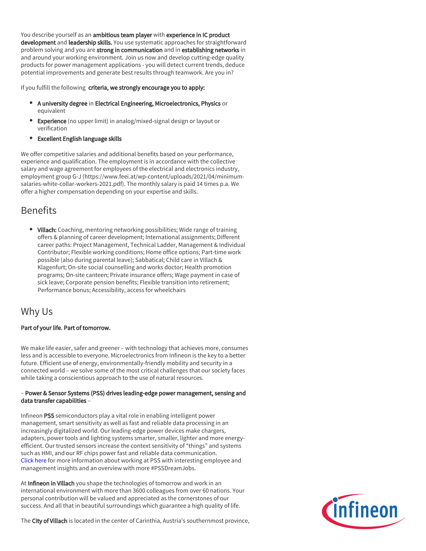You describe yourself as an ambitious team player with experience in IC product development and leadership skills. You use systematic approaches for straightforward problem solving and you are strong in communication and in establishing networks in and around your working environment. Join us now and develop cutting-edge quality products for power management applications - you will detect current trends, deduce potential improvements and generate best results through teamwork. Are you in?

If you fulfill the following criteria, we strongly encourage you to apply:

- A university degree in Electrical Engineering, Microelectronics, Physics or equivalent
- **Experience** (no upper limit) in analog/mixed-signal design or layout or verification
- Excellent English language skills

We offer competitive salaries and additional benefits based on your performance, experience and qualification. The employment is in accordance with the collective salary and wage agreement for employees of the electrical and electronics industry, employment group G-J (https://www.feei.at/wp-content/uploads/2021/04/minimumsalaries-white-collar-workers-2021.pdf). The monthly salary is paid 14 times p.a. We offer a higher compensation depending on your expertise and skills.

## Benefits

• Villach: Coaching, mentoring networking possibilities; Wide range of training offers & planning of career development; International assignments; Different career paths: Project Management, Technical Ladder, Management & Individual Contributor; Flexible working conditions; Home office options; Part-time work possible (also during parental leave); Sabbatical; Child care in Villach & Klagenfurt; On-site social counselling and works doctor; Health promotion programs; On-site canteen; Private insurance offers; Wage payment in case of sick leave; Corporate pension benefits; Flexible transition into retirement; Performance bonus; Accessibility, access for wheelchairs

## Why Us

#### Part of your life. Part of tomorrow.

We make life easier, safer and greener – with technology that achieves more, consumes less and is accessible to everyone. Microelectronics from Infineon is the key to a better future. Efficient use of energy, environmentally-friendly mobility and security in a connected world – we solve some of the most critical challenges that our society faces while taking a conscientious approach to the use of natural resources.

#### – Power & Sensor Systems (PSS) drives leading-edge power management, sensing and data transfer capabilities –

Infineon PSS semiconductors play a vital role in enabling intelligent power management, smart sensitivity as well as fast and reliable data processing in an increasingly digitalized world. Our leading-edge power devices make chargers, adapters, power tools and lighting systems smarter, smaller, lighter and more energyefficient. Our trusted sensors increase the context sensitivity of "things" and systems such as HMI, and our RF chips power fast and reliable data communication. [Click here](https://www.infineon.com/cms/en/careers/working-at-infineon/PSSDreamJob/) for more information about working at PSS with interesting employee and management insights and an overview with more #PSSDreamJobs.

At Infineon in Villach you shape the technologies of tomorrow and work in an international environment with more than 3600 colleagues from over 60 nations. Your personal contribution will be valued and appreciated as the cornerstones of our success. And all that in beautiful surroundings which guarantee a high quality of life.



The City of Villach is located in the center of Carinthia, Austria's southernmost province,